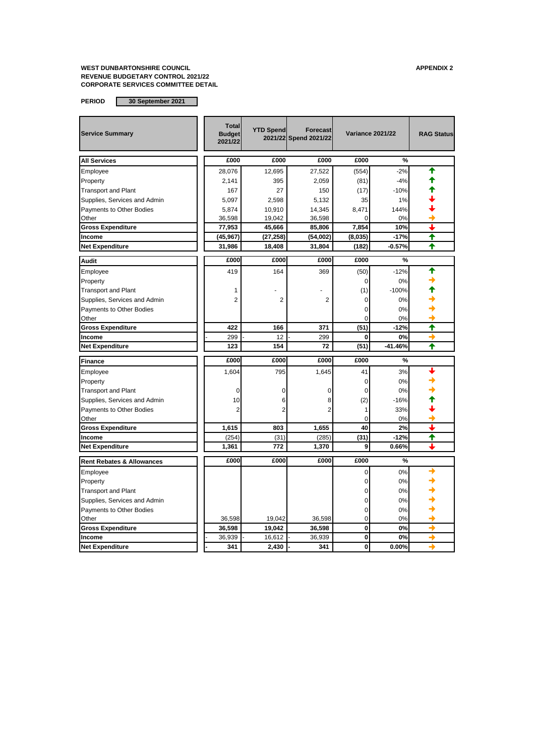| <b>Service Summary</b>               | <b>Total</b><br><b>Budget</b><br>2021/22 | <b>YTD Spend</b> | <b>Forecast</b><br>2021/22 Spend 2021/22 | <b>Variance 2021/22</b> |           | <b>RAG Status</b> |
|--------------------------------------|------------------------------------------|------------------|------------------------------------------|-------------------------|-----------|-------------------|
| <b>All Services</b>                  | £000                                     | £000             | £000                                     | £000                    | %         |                   |
| Employee                             | 28,076                                   | 12,695           | 27,522                                   | (554)                   | $-2%$     |                   |
| Property                             | 2,141                                    | 395              | 2,059                                    | (81)                    | $-4%$     |                   |
| <b>Transport and Plant</b>           | 167                                      | 27               | 150                                      | (17)                    | $-10%$    |                   |
| Supplies, Services and Admin         | 5,097                                    | 2,598            | 5,132                                    | 35                      | 1%        |                   |
| Payments to Other Bodies             | 5,874                                    | 10,910           | 14,345                                   | 8.471                   | 144%      |                   |
| Other                                | 36,598                                   | 19,042           | 36,598                                   | ŋ                       | 0%        |                   |
| <b>Gross Expenditure</b>             | 77,953                                   | 45,666           | 85,806                                   | 7,854                   | 10%       | ı                 |
| Income                               | (45, 967)                                | (27, 258)        | (54,002)                                 | (8,035)                 | $-17%$    | ✦                 |
| <b>Net Expenditure</b>               | 31,986                                   | 18,408           | 31,804                                   | (182)                   | $-0.57%$  | ✦                 |
| <b>Audit</b>                         | £000                                     | £000             | £000                                     | £000                    | %         |                   |
| Employee                             | 419                                      | 164              | 369                                      | (50)                    | $-12%$    | ♠                 |
| Property                             |                                          |                  |                                          | 0                       | 0%        |                   |
| <b>Transport and Plant</b>           | 1                                        |                  |                                          | (1)                     | $-100%$   |                   |
| Supplies, Services and Admin         | $\overline{2}$                           | $\overline{2}$   | $\overline{2}$                           | 0                       | 0%        |                   |
| Payments to Other Bodies             |                                          |                  |                                          | 0                       | 0%        |                   |
| Other                                |                                          |                  |                                          |                         | 0%        |                   |
| <b>Gross Expenditure</b>             | 422                                      | 166              | 371                                      | (51)                    | $-12%$    | ↑                 |
| Income                               | 299                                      | 12               | 299                                      | 0                       | 0%        |                   |
| <b>Net Expenditure</b>               | 123                                      | 154              | 72                                       | (51)                    | $-41.46%$ | ✦                 |
| Finance                              | £000                                     | £000             | £000                                     | £000                    | %         |                   |
| Employee                             | 1,604                                    | 795              | 1,645                                    | 41                      | 3%        |                   |
| Property                             |                                          |                  |                                          | $\Omega$                | 0%        |                   |
| <b>Transport and Plant</b>           | $\Omega$                                 | $\Omega$         | $\Omega$                                 | 0                       | 0%        |                   |
| Supplies, Services and Admin         | 10                                       | 6                | 8                                        | (2)                     | $-16%$    |                   |
| Payments to Other Bodies             | 2                                        | 2                | $\overline{2}$                           | 1                       | 33%       |                   |
| Other                                |                                          |                  |                                          | 0                       | 0%        |                   |
| <b>Gross Expenditure</b>             | 1,615                                    | 803              | 1,655                                    | 40                      | 2%        |                   |
| Income                               | (254)                                    | (31)             | (285)                                    | (31)                    | $-12%$    | ↑                 |
| <b>Net Expenditure</b>               | 1,361                                    | 772              | 1,370                                    | 9                       | 0.66%     |                   |
| <b>Rent Rebates &amp; Allowances</b> | £000                                     | £000             | £000                                     | £000                    | %         |                   |
| Employee                             |                                          |                  |                                          | 0                       | 0%        |                   |
| Property                             |                                          |                  |                                          | 0                       | 0%        |                   |
| <b>Transport and Plant</b>           |                                          |                  |                                          | 0                       | 0%        |                   |
| Supplies, Services and Admin         |                                          |                  |                                          | 0                       | 0%        |                   |
| Payments to Other Bodies             |                                          |                  |                                          | 0                       | 0%        |                   |
| Other                                | 36,598                                   | 19,042           | 36,598                                   | 0                       | 0%        |                   |
| <b>Gross Expenditure</b>             | 36,598                                   | 19,042           | 36,598                                   | 0                       | 0%        | →                 |
| Income                               | 36,939                                   | 16,612           | 36,939                                   | 0                       | 0%        | →                 |
| <b>Net Expenditure</b>               | 341                                      | 2,430            | 341                                      | 0                       | 0.00%     |                   |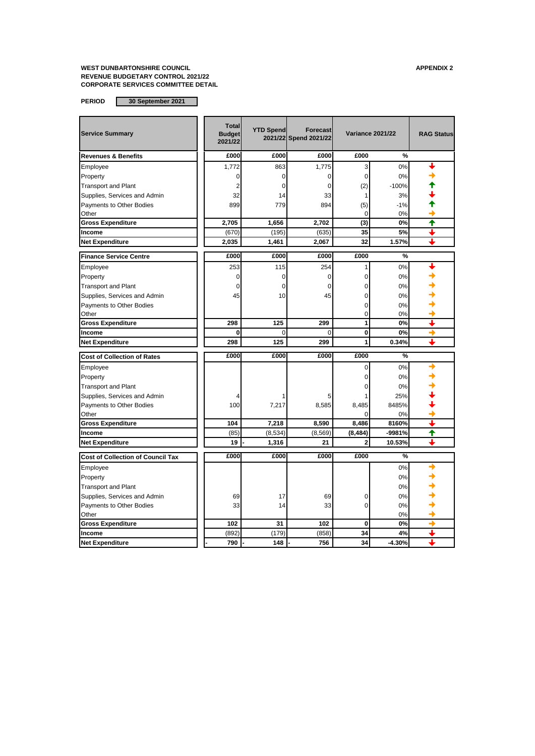| <b>Service Summary</b>                   | <b>Total</b><br><b>Budget</b><br>2021/22 | <b>YTD Spend</b> | <b>Forecast</b><br>2021/22 Spend 2021/22 | <b>Variance 2021/22</b> |          | <b>RAG Status</b> |
|------------------------------------------|------------------------------------------|------------------|------------------------------------------|-------------------------|----------|-------------------|
| <b>Revenues &amp; Benefits</b>           | £000                                     | £000             | £000                                     | £000                    | %        |                   |
| Employee                                 | 1,772                                    | 863              | 1,775                                    | 3                       | 0%       |                   |
| Property                                 | 0                                        | 0                | $\mathbf 0$                              | 0                       | 0%       |                   |
| <b>Transport and Plant</b>               | 2                                        | 0                | $\Omega$                                 | (2)                     | $-100%$  |                   |
| Supplies, Services and Admin             | 32                                       | 14               | 33                                       | 1                       | 3%       |                   |
| Payments to Other Bodies                 | 899                                      | 779              | 894                                      | (5)                     | $-1%$    |                   |
| Other                                    |                                          |                  |                                          | 0                       | 0%       |                   |
| <b>Gross Expenditure</b>                 | 2,705                                    | 1,656            | 2,702                                    | (3)                     | 0%       | ₳                 |
| Income                                   | (670)                                    | (195)            | (635)                                    | 35                      | 5%       | ı                 |
| <b>Net Expenditure</b>                   | 2.035                                    | 1,461            | 2.067                                    | 32                      | 1.57%    | ┻                 |
| <b>Finance Service Centre</b>            | £000                                     | £000             | £000                                     | £000                    | %        |                   |
| Employee                                 | 253                                      | 115              | 254                                      | 1                       | 0%       |                   |
| Property                                 | 0                                        | 0                | $\mathbf 0$                              | 0                       | 0%       |                   |
| <b>Transport and Plant</b>               | 0                                        | 0                | $\mathbf 0$                              | 0                       | 0%       |                   |
| Supplies, Services and Admin             | 45                                       | 10               | 45                                       | 0                       | 0%       |                   |
| Payments to Other Bodies                 |                                          |                  |                                          | 0                       | 0%       |                   |
| Other                                    |                                          |                  |                                          | 0                       | 0%       |                   |
| <b>Gross Expenditure</b>                 | 298                                      | 125              | 299                                      | 1                       | 0%       | ┹                 |
| Income                                   | 0                                        | 0                | $\mathbf 0$                              | 0                       | 0%       | →                 |
| <b>Net Expenditure</b>                   | 298                                      | 125              | 299                                      | 1                       | 0.34%    |                   |
| <b>Cost of Collection of Rates</b>       | £000                                     | £000             | E000                                     | £000                    | %        |                   |
| Employee                                 |                                          |                  |                                          | 0                       | 0%       |                   |
| Property                                 |                                          |                  |                                          | 0                       | 0%       |                   |
| <b>Transport and Plant</b>               |                                          |                  |                                          | 0                       | 0%       |                   |
| Supplies, Services and Admin             |                                          |                  | 5                                        |                         | 25%      |                   |
| Payments to Other Bodies                 | 100                                      | 7,217            | 8,585                                    | 8,485                   | 8485%    |                   |
| Other                                    |                                          |                  |                                          | $\Omega$                | 0%       |                   |
| <b>Gross Expenditure</b>                 | 104                                      | 7,218            | 8,590                                    | 8,486                   | 8160%    |                   |
| Income                                   | (85)                                     | (8,534)          | (8, 569)                                 | (8, 484)                | -9981%   | ♠                 |
| <b>Net Expenditure</b>                   | 19                                       | 1,316            | 21                                       | 2                       | 10.53%   | ┻                 |
| <b>Cost of Collection of Council Tax</b> | £000                                     | £000             | £000                                     | £000                    | %        |                   |
| Employee                                 |                                          |                  |                                          |                         | 0%       |                   |
| Property                                 |                                          |                  |                                          |                         | 0%       |                   |
| <b>Transport and Plant</b>               |                                          |                  |                                          |                         | 0%       |                   |
| Supplies, Services and Admin             | 69                                       | 17               | 69                                       | 0                       | 0%       |                   |
| Payments to Other Bodies                 | 33                                       | 14               | 33                                       | 0                       | 0%       |                   |
| Other                                    |                                          |                  |                                          |                         | 0%       |                   |
| <b>Gross Expenditure</b>                 | 102                                      | 31               | 102                                      | $\bf{0}$                | 0%       | $\rightarrow$     |
| Income                                   | (892)                                    | (179)            | (858)                                    | 34                      | 4%       |                   |
| <b>Net Expenditure</b>                   | 790                                      | 148              | 756                                      | 34                      | $-4.30%$ |                   |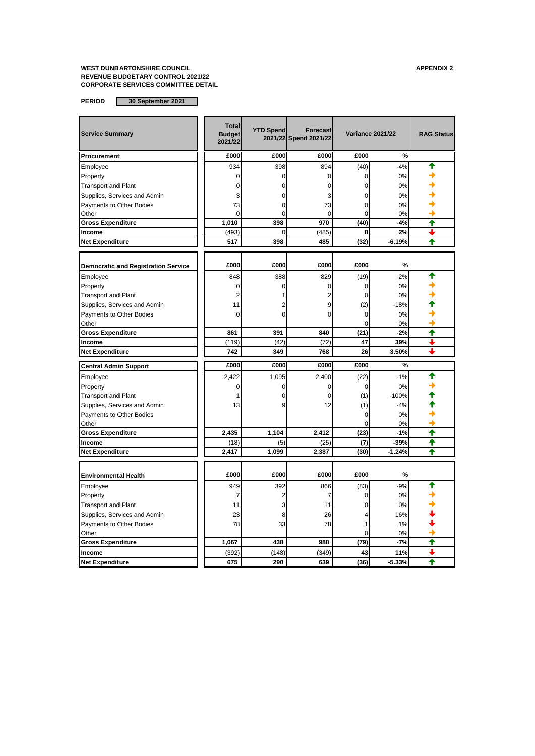| <b>Service Summary</b>                     | <b>Total</b><br><b>Budget</b><br>2021/22 | <b>YTD Spend</b> | <b>Forecast</b><br>2021/22 Spend 2021/22 | <b>Variance 2021/22</b> |          | <b>RAG Status</b>    |
|--------------------------------------------|------------------------------------------|------------------|------------------------------------------|-------------------------|----------|----------------------|
| Procurement                                | £000                                     | £000             | £000                                     | £000                    | %        |                      |
| Employee                                   | 934                                      | 398              | 894                                      | (40)                    | $-4%$    |                      |
| Property                                   | 0                                        | 0                | 0                                        | 0                       | 0%       |                      |
| <b>Transport and Plant</b>                 | 0                                        | 0                | 0                                        | 0                       | 0%       |                      |
| Supplies, Services and Admin               | 3                                        | 0                | 3                                        | 0                       | 0%       |                      |
| Payments to Other Bodies                   | 73                                       | 0                | 73                                       | 0                       | 0%       |                      |
| Other                                      | $\Omega$                                 | $\Omega$         | $\Omega$                                 | $\Omega$                | 0%       |                      |
| <b>Gross Expenditure</b>                   | 1,010                                    | 398              | 970                                      | (40)                    | $-4%$    | ₳                    |
| Income                                     | (493)                                    | $\Omega$         | (485)                                    | 8                       | 2%       | ı                    |
| <b>Net Expenditure</b>                     | 517                                      | 398              | 485                                      | (32)                    | $-6.19%$ | ╇                    |
|                                            |                                          |                  |                                          |                         |          |                      |
| <b>Democratic and Registration Service</b> | £000                                     | £000             | £000                                     | £000                    | %        |                      |
| Employee                                   | 848                                      | 388              | 829                                      | (19)                    | $-2%$    | ₳                    |
| Property                                   | $\mathbf 0$                              | $\mathbf 0$      | 0                                        | 0                       | 0%       |                      |
| <b>Transport and Plant</b>                 | 2                                        | 1                | 2                                        | 0                       | 0%       |                      |
| Supplies, Services and Admin               | 11                                       | 2                | 9                                        | (2)                     | $-18%$   |                      |
| Payments to Other Bodies                   | $\Omega$                                 | $\Omega$         | 0                                        | 0                       | 0%       |                      |
| Other                                      |                                          |                  |                                          | $\Omega$                | 0%       |                      |
| <b>Gross Expenditure</b>                   | 861                                      | 391              | 840                                      | (21)                    | $-2%$    | ↑                    |
| Income                                     | (119)                                    | (42)             | (72)                                     | 47                      | 39%      | ┹                    |
| <b>Net Expenditure</b>                     | 742                                      | 349              | 768                                      | 26                      | 3.50%    |                      |
| <b>Central Admin Support</b>               | £000                                     | £000             | £000                                     | £000                    | %        |                      |
| Employee                                   | 2,422                                    | 1,095            | 2,400                                    | (22)                    | $-1%$    |                      |
| Property                                   | 0                                        | 0                | 0                                        | $\mathbf 0$             | 0%       |                      |
| <b>Transport and Plant</b>                 | 1                                        | $\Omega$         | $\Omega$                                 | (1)                     | $-100%$  |                      |
| Supplies, Services and Admin               | 13                                       | 9                | 12                                       | (1)                     | $-4%$    |                      |
| Payments to Other Bodies                   |                                          |                  |                                          | $\Omega$                | 0%       |                      |
| Other                                      |                                          |                  |                                          | $\Omega$                | 0%       |                      |
| <b>Gross Expenditure</b>                   | 2,435                                    | 1,104            | 2.412                                    | (23)                    | $-1%$    | ✦                    |
| Income                                     | (18)                                     | (5)              | (25)                                     | (7)                     | $-39%$   | ✦                    |
| <b>Net Expenditure</b>                     | 2,417                                    | 1,099            | 2,387                                    | (30)                    | $-1.24%$ | $\ddot{\phantom{1}}$ |
|                                            |                                          |                  |                                          |                         |          |                      |
| <b>Environmental Health</b>                | £000                                     | £000             | £000                                     | £000                    | %        |                      |
| Employee                                   | 949                                      | 392              | 866                                      | (83)                    | $-9%$    |                      |
| Property                                   | 7                                        | $\overline{2}$   | 7                                        | 0                       | 0%       |                      |
| <b>Transport and Plant</b>                 | 11                                       | 3                | 11                                       | $\Omega$                | 0%       |                      |
| Supplies, Services and Admin               | 23                                       | 8                | 26                                       | 4                       | 16%      |                      |
| Payments to Other Bodies                   | 78                                       | 33               | 78                                       | 1                       | 1%       |                      |
| Other                                      |                                          |                  |                                          | $\overline{0}$          | 0%       |                      |
| <b>Gross Expenditure</b>                   | 1,067                                    | 438              | 988                                      | (79)                    | $-7%$    | ₳                    |
| Income                                     | (392)                                    | (148)            | (349)                                    | 43                      | 11%      |                      |
| <b>Net Expenditure</b>                     | 675                                      | 290              | 639                                      | (36)                    | $-5.33%$ | ♠                    |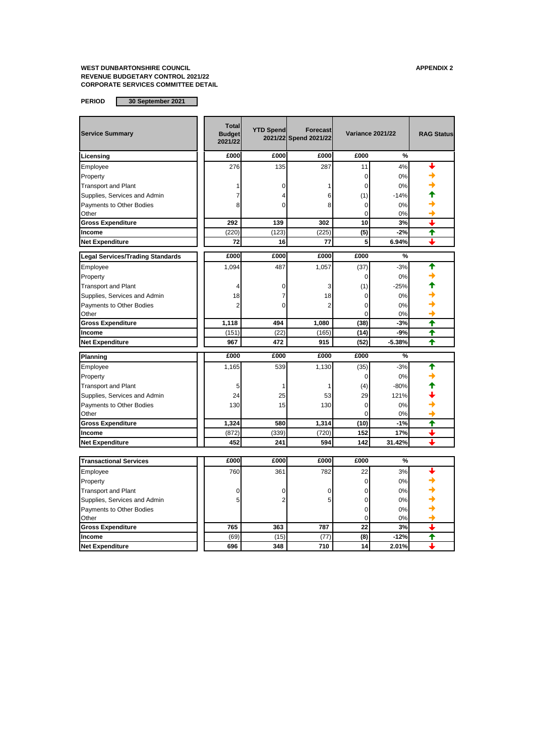| <b>Service Summary</b>                  | <b>Total</b><br><b>Budget</b><br>2021/22 | <b>YTD Spend</b> | <b>Forecast</b><br>2021/22 Spend 2021/22 | <b>Variance 2021/22</b> |          | <b>RAG Status</b> |
|-----------------------------------------|------------------------------------------|------------------|------------------------------------------|-------------------------|----------|-------------------|
| Licensing                               | £000                                     | £000             | £000                                     | £000                    | %        |                   |
| Employee                                | 276                                      | 135              | 287                                      | 11                      | 4%       |                   |
| Property                                |                                          |                  |                                          | 0                       | 0%       |                   |
| <b>Transport and Plant</b>              |                                          | 0                | 1                                        | 0                       | 0%       |                   |
| Supplies, Services and Admin            |                                          | 4                | 6                                        | (1)                     | $-14%$   |                   |
| Payments to Other Bodies                | 8                                        | 0                | 8                                        | 0                       | 0%       |                   |
| Other                                   |                                          |                  |                                          | 0                       | 0%       |                   |
| <b>Gross Expenditure</b>                | 292                                      | 139              | 302                                      | 10                      | 3%       | ┻                 |
| Income                                  | (220)                                    | (123)            | (225)                                    | (5)                     | $-2%$    | ↑                 |
| <b>Net Expenditure</b>                  | 72                                       | 16               | 77                                       | 5                       | 6.94%    | ┹                 |
| <b>Legal Services/Trading Standards</b> | £000                                     | £000             | £000                                     | £000                    | %        |                   |
| Employee                                | 1,094                                    | 487              | 1,057                                    | (37)                    | $-3%$    | ♠                 |
| Property                                |                                          |                  |                                          | 0                       | 0%       |                   |
| <b>Transport and Plant</b>              | 4                                        | 0                | 3                                        | (1)                     | $-25%$   |                   |
| Supplies, Services and Admin            | 18                                       | 7                | 18                                       | 0                       | 0%       |                   |
| Payments to Other Bodies                | $\overline{2}$                           | 0                | $\overline{2}$                           | $\Omega$                | 0%       |                   |
| Other                                   |                                          |                  |                                          | 0                       | 0%       |                   |
| <b>Gross Expenditure</b>                | 1,118                                    | 494              | 1,080                                    | (38)                    | $-3%$    | ↑                 |
| Income                                  | (151)                                    | (22)             | (165)                                    | (14)                    | $-9%$    | ✦                 |
| <b>Net Expenditure</b>                  | 967                                      | 472              | 915                                      | (52)                    | $-5.38%$ | ♠                 |
| Planning                                | £000                                     | £000             | £000                                     | £000                    | %        |                   |
| Employee                                | 1,165                                    | 539              | 1,130                                    | (35)                    | $-3%$    |                   |
| Property                                |                                          |                  |                                          | 0                       | 0%       |                   |
| <b>Transport and Plant</b>              | 5                                        | 1                | 1                                        | (4)                     | $-80%$   |                   |
| Supplies, Services and Admin            | 24                                       | 25               | 53                                       | 29                      | 121%     |                   |
| Payments to Other Bodies                | 130                                      | 15               | 130                                      | 0                       | 0%       |                   |
| Other                                   |                                          |                  |                                          | 0                       | 0%       |                   |
| <b>Gross Expenditure</b>                | 1,324                                    | 580              | 1,314                                    | (10)                    | $-1%$    | ✦                 |
| Income                                  | (872)                                    | (339)            | (720)                                    | 152                     | 17%      | ┻                 |
| <b>Net Expenditure</b>                  | 452                                      | 241              | 594                                      | 142                     | 31.42%   |                   |
|                                         |                                          |                  |                                          |                         |          |                   |
| <b>Transactional Services</b>           | £000                                     | £000             | £000                                     | £000                    | %        |                   |
| Employee                                | 760                                      | 361              | 782                                      | 22                      | 3%       |                   |
| Property                                |                                          |                  |                                          | 0                       | 0%       |                   |
| <b>Transport and Plant</b>              | 0                                        | 0                | $\mathbf 0$                              | 0                       | 0%       |                   |
| Supplies, Services and Admin            | 5                                        | $\overline{2}$   | 5                                        | 0                       | 0%       |                   |
| Payments to Other Bodies                |                                          |                  |                                          | 0                       | 0%       |                   |
| Other                                   |                                          |                  |                                          | Ō                       | 0%       |                   |
| <b>Gross Expenditure</b>                | 765                                      | 363              | 787                                      | 22                      | 3%       | ┻                 |
| Income                                  | (69)                                     | (15)             | (77)                                     | (8)                     | $-12%$   | ♠                 |
| <b>Net Expenditure</b>                  | 696                                      | 348              | 710                                      | 14                      | 2.01%    |                   |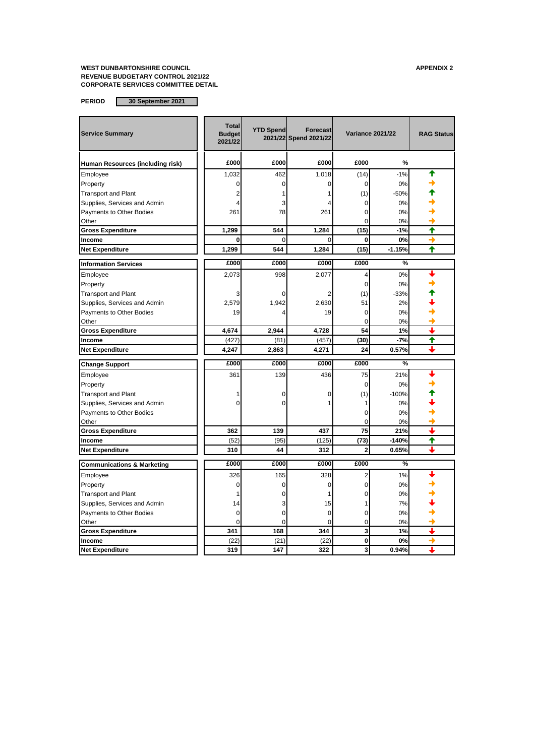| <b>Service Summary</b>                | <b>Total</b><br><b>Budget</b><br>2021/22 | <b>YTD Spend</b> | <b>Forecast</b><br>2021/22 Spend 2021/22 | <b>Variance 2021/22</b> |          | <b>RAG Status</b> |
|---------------------------------------|------------------------------------------|------------------|------------------------------------------|-------------------------|----------|-------------------|
| Human Resources (including risk)      | £000                                     | £000             | £000                                     | £000                    | %        |                   |
| Employee                              | 1,032                                    | 462              | 1,018                                    | (14)                    | $-1%$    |                   |
| Property                              | 0                                        | $\Omega$         |                                          | 0                       | 0%       |                   |
| <b>Transport and Plant</b>            | 2                                        |                  |                                          | (1)                     | $-50%$   |                   |
| Supplies, Services and Admin          |                                          | 3                |                                          | $\Omega$                | 0%       |                   |
| Payments to Other Bodies              | 261                                      | 78               | 261                                      | $\Omega$                | 0%       |                   |
| Other                                 |                                          |                  |                                          | 0                       | 0%       |                   |
| <b>Gross Expenditure</b>              | 1,299                                    | 544              | 1,284                                    | (15)                    | $-1%$    | ✦                 |
| Income                                | $\Omega$                                 | $\Omega$         |                                          | 0                       | 0%       |                   |
| <b>Net Expenditure</b>                | 1.299                                    | 544              | 1,284                                    | (15)                    | $-1.15%$ | ✦                 |
| <b>Information Services</b>           | £000                                     | £000             | £000                                     | £000                    | %        |                   |
| Employee                              | 2,073                                    | 998              | 2,077                                    | 4                       | 0%       |                   |
| Property                              |                                          |                  |                                          | 0                       | 0%       |                   |
| <b>Transport and Plant</b>            | 3                                        |                  |                                          | (1)                     | $-33%$   |                   |
| Supplies, Services and Admin          | 2,579                                    | 1,942            | 2,630                                    | 51                      | 2%       |                   |
| Payments to Other Bodies              | 19                                       |                  | 19                                       | $\Omega$                | 0%       |                   |
| Other                                 |                                          |                  |                                          | 0                       | 0%       |                   |
| <b>Gross Expenditure</b>              | 4,674                                    | 2,944            | 4,728                                    | 54                      | 1%       |                   |
| Income                                | (427)                                    | (81)             | (457)                                    | (30)                    | $-7%$    | ♠                 |
| <b>Net Expenditure</b>                | 4,247                                    | 2,863            | 4,271                                    | 24                      | 0.57%    |                   |
| <b>Change Support</b>                 | £000                                     | £000             | £000                                     | £000                    | %        |                   |
| Employee                              | 361                                      | 139              | 436                                      | 75                      | 21%      |                   |
| Property                              |                                          |                  |                                          | 0                       | 0%       |                   |
| <b>Transport and Plant</b>            | 1                                        | 0                | 0                                        | (1)                     | $-100%$  |                   |
| Supplies, Services and Admin          | ٢                                        | 0                |                                          | 1                       | 0%       |                   |
| Payments to Other Bodies              |                                          |                  |                                          | $\Omega$                | 0%       |                   |
| Other                                 |                                          |                  |                                          | 0                       | 0%       |                   |
| <b>Gross Expenditure</b>              | 362                                      | 139              | 437                                      | 75                      | 21%      |                   |
| Income                                | (52)                                     | (95)             | (125)                                    | (73)                    | $-140%$  | ↟                 |
| <b>Net Expenditure</b>                | 310                                      | 44               | 312                                      | $\overline{2}$          | 0.65%    |                   |
| <b>Communications &amp; Marketing</b> | £000                                     | £000             | £000                                     | £000                    | %        |                   |
| Employee                              | 326                                      | 165              | 328                                      | 2                       | 1%       |                   |
| Property                              | $\Omega$                                 | $\Omega$         | $\Omega$                                 | $\overline{0}$          | 0%       |                   |
| <b>Transport and Plant</b>            |                                          | 0                |                                          | 0                       | 0%       |                   |
| Supplies, Services and Admin          | 14                                       | 3                | 15                                       |                         | 7%       |                   |
| Payments to Other Bodies              | 0                                        | $\mathbf 0$      | 0                                        | 0                       | 0%       |                   |
| Other                                 | 0                                        | 0                | $\Omega$                                 | 0                       | 0%       |                   |
| <b>Gross Expenditure</b>              | 341                                      | 168              | 344                                      | 3                       | 1%       | J                 |
| Income                                | (22)                                     | (21)             | (22)                                     | 0                       | 0%       | →                 |
| <b>Net Expenditure</b>                | 319                                      | 147              | 322                                      | 3                       | 0.94%    | ┻                 |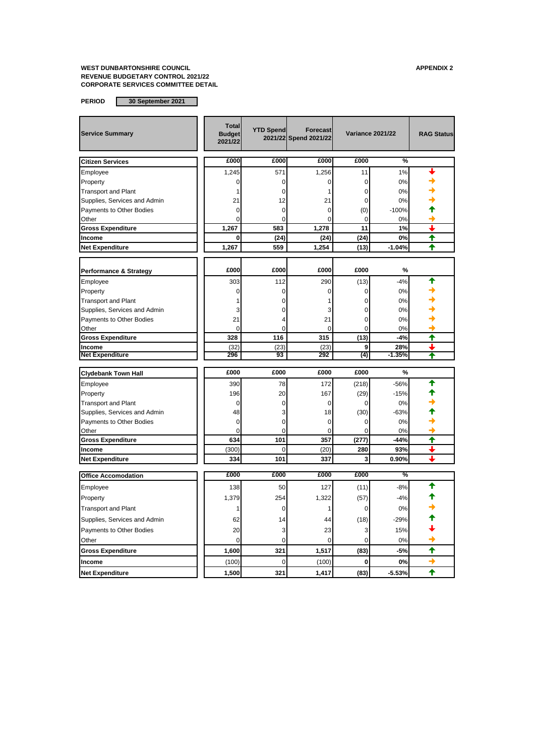| <b>Service Summary</b>           | <b>Total</b><br><b>Budget</b><br>2021/22 | <b>YTD Spend</b> | <b>Forecast</b><br>2021/22 Spend 2021/22 | <b>Variance 2021/22</b> |                 | <b>RAG Status</b> |
|----------------------------------|------------------------------------------|------------------|------------------------------------------|-------------------------|-----------------|-------------------|
| <b>Citizen Services</b>          | £000                                     | £000             | £000                                     | £000                    | $\%$            |                   |
| Employee                         | 1,245                                    | 571              | 1,256                                    | 11                      | 1%              |                   |
| Property                         | O                                        | 0                | 0                                        | $\mathbf 0$             | 0%              |                   |
| <b>Transport and Plant</b>       |                                          | $\Omega$         | 1                                        | $\mathbf 0$             | 0%              |                   |
| Supplies, Services and Admin     | 21                                       | 12               | 21                                       | 0                       | 0%              |                   |
| Payments to Other Bodies         | 0                                        | 0                | 0                                        | (0)                     | $-100%$         |                   |
| Other                            | O                                        | $\Omega$         | O                                        | $\mathbf 0$             | 0%              |                   |
| <b>Gross Expenditure</b>         | 1,267                                    | 583              | 1,278                                    | 11                      | 1%              | L                 |
| Income                           | 0                                        | (24)             | (24)                                     | (24)                    | 0%              | ₳                 |
| <b>Net Expenditure</b>           | 1,267                                    | 559              | 1,254                                    | (13)                    | $-1.04%$        | ✦                 |
|                                  | £000                                     | £000             | £000                                     | £000                    | %               |                   |
| Performance & Strategy           |                                          |                  |                                          |                         |                 |                   |
| Employee                         | 303                                      | 112              | 290                                      | (13)                    | $-4%$           |                   |
| Property                         | $\Omega$                                 | $\Omega$         | $\Omega$                                 | 0                       | 0%              |                   |
| <b>Transport and Plant</b>       |                                          | $\Omega$         |                                          | 0                       | 0%              |                   |
| Supplies, Services and Admin     | 3                                        | 0                | 3                                        | $\mathbf 0$             | 0%              |                   |
| Payments to Other Bodies         | 21                                       | 4                | 21                                       | $\overline{0}$          | 0%              |                   |
| Other                            | $\Omega$                                 | $\Omega$         | $\Omega$                                 | $\Omega$                | 0%              |                   |
| <b>Gross Expenditure</b>         | 328                                      | 116              | 315                                      | (13)                    | -4%             | ✦<br>L            |
| Income<br><b>Net Expenditure</b> | (32)<br>296                              | (23)<br>93       | (23)<br>292                              | 9<br>(4)                | 28%<br>$-1.35%$ |                   |
|                                  |                                          |                  |                                          |                         |                 |                   |
| <b>Clydebank Town Hall</b>       | £000                                     | £000             | £000                                     | £000                    | $\%$            |                   |
| Employee                         | 390                                      | 78               | 172                                      | (218)                   | $-56%$          |                   |
| Property                         | 196                                      | 20               | 167                                      | (29)                    | $-15%$          |                   |
| <b>Transport and Plant</b>       | 0                                        | 0                | 0                                        | 0                       | 0%              |                   |
| Supplies, Services and Admin     | 48                                       | 3                | 18                                       | (30)                    | $-63%$          |                   |
| Payments to Other Bodies         | $\mathbf 0$                              | 0                | $\mathbf 0$                              | $\mathbf 0$             | 0%              |                   |
| Other                            | $\Omega$                                 | $\mathbf 0$      | $\Omega$                                 | $\Omega$                | 0%              |                   |
| <b>Gross Expenditure</b>         | 634                                      | 101              | 357                                      | (277)                   | $-44%$          | ↑                 |
| Income                           | (300)                                    | 0                | (20)                                     | 280                     | 93%             |                   |
| <b>Net Expenditure</b>           | 334                                      | 101              | 337                                      | 3                       | 0.90%           | ┸                 |
| <b>Office Accomodation</b>       | £000                                     | £000             | £000                                     | £000                    | %               |                   |
| Employee                         | 138                                      | 50               | 127                                      | (11)                    | $-8%$           |                   |
| Property                         | 1,379                                    | 254              | 1,322                                    | (57)                    | $-4%$           |                   |
| <b>Transport and Plant</b>       | 1                                        | 0                | 1                                        | 0                       | 0%              |                   |
| Supplies, Services and Admin     | 62                                       | 14               | 44                                       | (18)                    | $-29%$          |                   |
| Payments to Other Bodies         | 20                                       | 3                | 23                                       | 3                       | 15%             |                   |
| Other                            | 0                                        | 0                | 0                                        | $\Omega$                | 0%              |                   |
| <b>Gross Expenditure</b>         | 1,600                                    | 321              | 1,517                                    | (83)                    | $-5%$           | ╇                 |
| Income                           | (100)                                    | 0                | (100)                                    | $\bf{0}$                | 0%              |                   |
| <b>Net Expenditure</b>           | 1,500                                    | 321              | 1.417                                    | (83)                    | $-5.53%$        | ♠                 |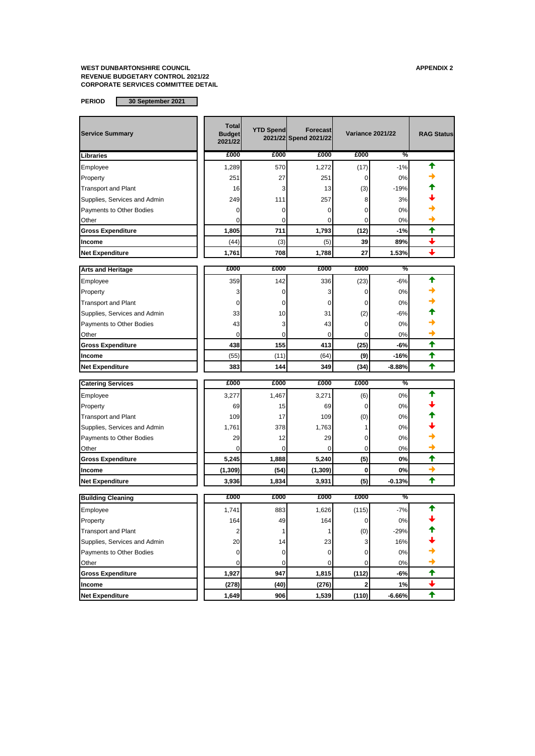| <b>Service Summary</b>       | <b>Total</b><br><b>Budget</b><br>2021/22 | <b>YTD Spend</b> | <b>Forecast</b><br>2021/22 Spend 2021/22 |                         | <b>Variance 2021/22</b> | <b>RAG Status</b>    |
|------------------------------|------------------------------------------|------------------|------------------------------------------|-------------------------|-------------------------|----------------------|
| Libraries                    | £000                                     | £000             | £000                                     | £000                    | %                       |                      |
| Employee                     | 1,289                                    | 570              | 1,272                                    | (17)                    | $-1%$                   | ↑                    |
| Property                     | 251                                      | 27               | 251                                      | 0                       | 0%                      |                      |
| <b>Transport and Plant</b>   | 16                                       | 3                | 13                                       | (3)                     | $-19%$                  |                      |
| Supplies, Services and Admin | 249                                      | 111              | 257                                      | 8                       | 3%                      |                      |
| Payments to Other Bodies     | 0                                        | 0                | 0                                        | 0                       | 0%                      |                      |
| Other                        | $\Omega$                                 | 0                | 0                                        | $\Omega$                | 0%                      |                      |
| <b>Gross Expenditure</b>     | 1,805                                    | 711              | 1,793                                    | (12)                    | $-1%$                   | ✦                    |
| Income                       | (44)                                     | (3)              | (5)                                      | 39                      | 89%                     |                      |
| <b>Net Expenditure</b>       | 1,761                                    | 708              | 1,788                                    | 27                      | 1.53%                   |                      |
| <b>Arts and Heritage</b>     | £000                                     | £000             | £000                                     | £000                    | %                       |                      |
| Employee                     | 359                                      | 142              | 336                                      | (23)                    | -6%                     | ✦                    |
| Property                     | 3                                        | 0                | 3                                        | 0                       | 0%                      |                      |
| <b>Transport and Plant</b>   | 0                                        | 0                | 0                                        | 0                       | 0%                      |                      |
| Supplies, Services and Admin | 33                                       | 10               | 31                                       | (2)                     | -6%                     |                      |
| Payments to Other Bodies     | 43                                       | 3                | 43                                       | 0                       | 0%                      |                      |
| Other                        | $\mathbf 0$                              | 0                | 0                                        | 0                       | 0%                      |                      |
| <b>Gross Expenditure</b>     | 438                                      | 155              | 413                                      | (25)                    | -6%                     | ✦                    |
| Income                       | (55)                                     | (11)             | (64)                                     | (9)                     | -16%                    | ✦                    |
| <b>Net Expenditure</b>       | 383                                      | 144              | 349                                      | (34)                    | $-8.88%$                | ✦                    |
| <b>Catering Services</b>     | £000                                     | £000             | £000                                     | £000                    | %                       |                      |
| Employee                     | 3,277                                    | 1,467            | 3,271                                    | (6)                     | 0%                      |                      |
| Property                     | 69                                       | 15               | 69                                       | 0                       | 0%                      |                      |
| <b>Transport and Plant</b>   | 109                                      | 17               | 109                                      | (0)                     | 0%                      |                      |
| Supplies, Services and Admin | 1,761                                    | 378              | 1,763                                    | 1                       | 0%                      |                      |
| Payments to Other Bodies     | 29                                       | 12               | 29                                       | 0                       | 0%                      |                      |
| Other                        | 0                                        | 0                | 0                                        | 0                       | 0%                      |                      |
| <b>Gross Expenditure</b>     | 5,245                                    | 1,888            | 5,240                                    | (5)                     | 0%                      | $\ddot{\textbf{t}}$  |
| Income                       | (1, 309)                                 | (54)             | (1, 309)                                 | 0                       | 0%                      | →                    |
| <b>Net Expenditure</b>       | 3,936                                    | 1,834            | 3,931                                    | (5)                     | $-0.13%$                | ✦                    |
| <b>Building Cleaning</b>     | £000                                     | £000             | £000                                     | £000                    | %                       |                      |
| Employee                     | 1,741                                    | 883              | 1,626                                    | (115)                   | $-7%$                   | ↑                    |
| Property                     | 164                                      | 49               | 164                                      | $\mathbf 0$             | $0\%$                   |                      |
| <b>Transport and Plant</b>   | $\overline{c}$                           | 1                | 1                                        | (0)                     | $-29%$                  |                      |
| Supplies, Services and Admin | 20                                       | 14               | 23                                       | 3                       | 16%                     |                      |
| Payments to Other Bodies     | 0                                        | 0                | 0                                        | 0                       | 0%                      |                      |
| Other                        | 0                                        | 0                | 0                                        | 0                       | 0%                      |                      |
| <b>Gross Expenditure</b>     | 1,927                                    | 947              | 1,815                                    | (112)                   | -6%                     | $\ddot{\phantom{1}}$ |
| Income                       | (278)                                    | (40)             | (276)                                    | $\overline{\mathbf{2}}$ | 1%                      | $\ddot{\phantom{0}}$ |
| <b>Net Expenditure</b>       | 1,649                                    | 906              | 1,539                                    | (110)                   | $-6.66%$                | $\ddagger$           |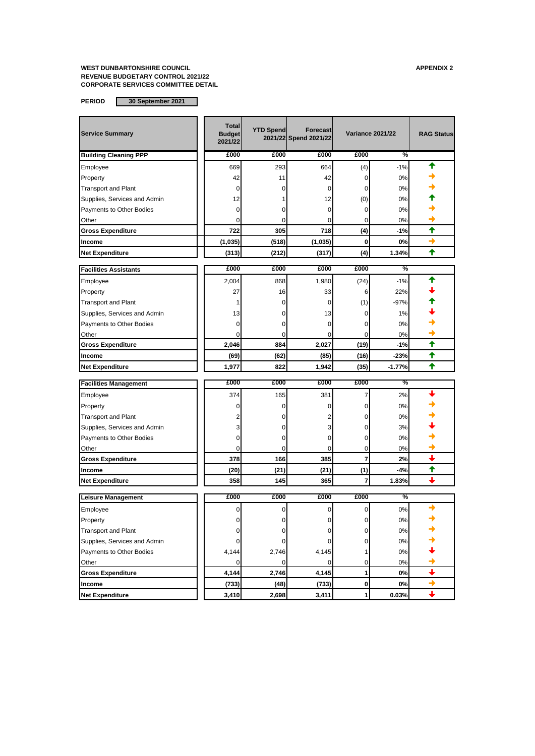| <b>Service Summary</b>       | <b>Total</b><br><b>Budget</b><br>2021/22 | <b>YTD Spend</b> | <b>Forecast</b><br>2021/22 Spend 2021/22 | <b>Variance 2021/22</b> |          | <b>RAG Status</b>        |
|------------------------------|------------------------------------------|------------------|------------------------------------------|-------------------------|----------|--------------------------|
| <b>Building Cleaning PPP</b> | £000                                     | £000             | £000                                     | £000                    | %        |                          |
| Employee                     | 669                                      | 293              | 664                                      | (4)                     | $-1%$    |                          |
| Property                     | 42                                       | 11               | 42                                       | 0                       | 0%       |                          |
| <b>Transport and Plant</b>   | 0                                        | 0                | $\Omega$                                 | 0                       | 0%       |                          |
| Supplies, Services and Admin | 12                                       |                  | 12                                       | (0)                     | 0%       |                          |
| Payments to Other Bodies     | 0                                        | 0                | 0                                        | 0                       | 0%       |                          |
| Other                        | 0                                        | 0                | 0                                        | 0                       | 0%       |                          |
| <b>Gross Expenditure</b>     | 722                                      | 305              | 718                                      | (4)                     | -1%      | ✦                        |
| Income                       | (1,035)                                  | (518)            | (1,035)                                  | $\bf{0}$                | 0%       | →                        |
| <b>Net Expenditure</b>       | (313)                                    | (212)            | (317)                                    | (4)                     | 1.34%    | ♠                        |
| <b>Facilities Assistants</b> | £000                                     | £000             | £000                                     | £000                    | %        |                          |
| Employee                     | 2,004                                    | 868              | 1,980                                    | (24)                    | $-1%$    |                          |
| Property                     | 27                                       | 16               | 33                                       | 6                       | 22%      |                          |
| <b>Transport and Plant</b>   | 1                                        | 0                | 0                                        | (1)                     | $-97%$   |                          |
| Supplies, Services and Admin | 13                                       | 0                | 13                                       | 0                       | 1%       |                          |
| Payments to Other Bodies     | 0                                        | 0                | 0                                        | 0                       | 0%       |                          |
| Other                        | 0                                        | 0                | $\Omega$                                 | $\Omega$                | 0%       |                          |
| <b>Gross Expenditure</b>     | 2,046                                    | 884              | 2,027                                    | (19)                    | $-1%$    | $\ddot{\textbf{t}}$      |
| Income                       | (69)                                     | (62)             | (85)                                     | (16)                    | $-23%$   | ✦                        |
| <b>Net Expenditure</b>       | 1,977                                    | 822              | 1,942                                    | (35)                    | $-1.77%$ | ↑                        |
| <b>Facilities Management</b> | £000                                     | £000             | £000                                     | £000                    | %        |                          |
| Employee                     | 374                                      | 165              | 381                                      | 7                       | 2%       |                          |
| Property                     | 0                                        | 0                | 0                                        | 0                       | 0%       |                          |
| <b>Transport and Plant</b>   |                                          | 0                |                                          | 0                       | 0%       |                          |
| Supplies, Services and Admin | 3                                        | 0                | 3                                        | 0                       | 3%       |                          |
| Payments to Other Bodies     | 0                                        | 0                | 0                                        | 0                       | 0%       |                          |
| Other                        | $\Omega$                                 | 0                | 0                                        | 0                       | 0%       |                          |
| <b>Gross Expenditure</b>     | 378                                      | 166              | 385                                      | 7                       | 2%       | ı                        |
| Income                       | (20)                                     | (21)             | (21)                                     | (1)                     | $-4%$    | ✦                        |
| <b>Net Expenditure</b>       | 358                                      | 145              | 365                                      | 7                       | 1.83%    |                          |
| Leisure Management           | £000                                     | £000             | £000                                     | £000                    | %        |                          |
| Employee                     | 0                                        | 0                | $\Omega$                                 | 0                       | 0%       |                          |
| Property                     | 0                                        | 0                | 0                                        | 0                       | 0%       |                          |
| <b>Transport and Plant</b>   | 0                                        | 0                | $\mathbf{0}$                             | $\overline{0}$          | $0\%$    |                          |
| Supplies, Services and Admin | 0                                        | 0                | 0                                        | 0                       | 0%       |                          |
| Payments to Other Bodies     | 4,144                                    | 2,746            | 4,145                                    | 1                       | 0%       |                          |
| Other                        | 0                                        | 0                | $\mathbf 0$                              | 0                       | $0\%$    | →                        |
| <b>Gross Expenditure</b>     | 4,144                                    | 2,746            | 4,145                                    | 1                       | 0%       | $\overline{\phantom{0}}$ |
| Income                       | (733)                                    | (48)             | (733)                                    | 0                       | 0%       | $\rightarrow$            |
| <b>Net Expenditure</b>       | 3,410                                    | 2,698            | 3,411                                    | 1                       | 0.03%    | $\ddot{\phantom{1}}$     |